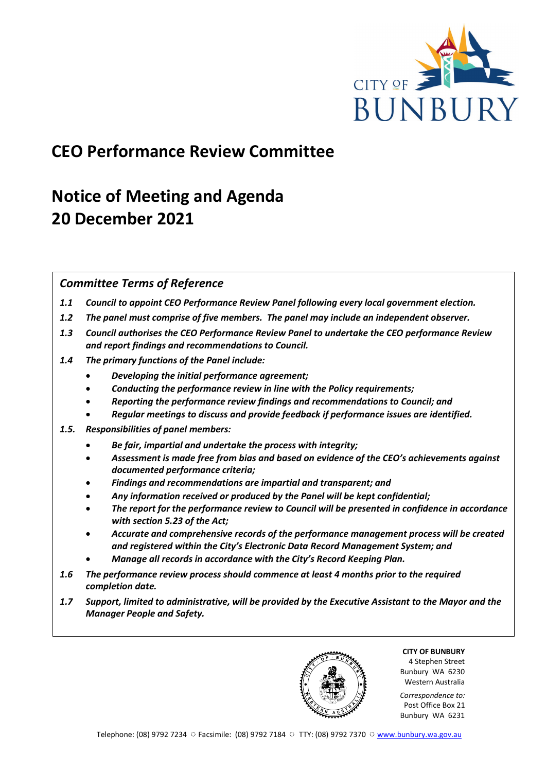

# **CEO Performance Review Committee**

# **Notice of Meeting and Agenda 20 December 2021**

## *Committee Terms of Reference*

- *1.1 Council to appoint CEO Performance Review Panel following every local government election.*
- *1.2 The panel must comprise of five members. The panel may include an independent observer.*
- *1.3 Council authorises the CEO Performance Review Panel to undertake the CEO performance Review and report findings and recommendations to Council.*
- *1.4 The primary functions of the Panel include:*
	- *Developing the initial performance agreement;*
	- *Conducting the performance review in line with the Policy requirements;*
	- *Reporting the performance review findings and recommendations to Council; and*
	- *Regular meetings to discuss and provide feedback if performance issues are identified.*
- *1.5. Responsibilities of panel members:*
	- *Be fair, impartial and undertake the process with integrity;*
	- *Assessment is made free from bias and based on evidence of the CEO's achievements against documented performance criteria;*
	- *Findings and recommendations are impartial and transparent; and*
	- *Any information received or produced by the Panel will be kept confidential;*
	- *The report for the performance review to Council will be presented in confidence in accordance with section 5.23 of the Act;*
	- *Accurate and comprehensive records of the performance management process will be created and registered within the City's Electronic Data Record Management System; and*
	- *Manage all records in accordance with the City's Record Keeping Plan.*
- *1.6 The performance review process should commence at least 4 months prior to the required completion date.*
- *1.7 Support, limited to administrative, will be provided by the Executive Assistant to the Mayor and the Manager People and Safety.*

**CITY OF BUNBURY** 4 Stephen Street Bunbury WA 6230 Western Australia

*Correspondence to:* Post Office Box 21 Bunbury WA 6231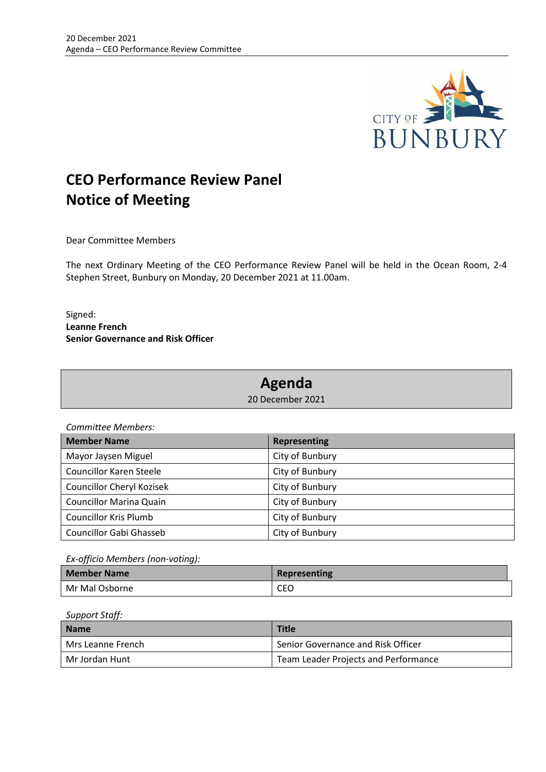

# **CEO Performance Review Panel Notice of Meeting**

Dear Committee Members

The next Ordinary Meeting of the CEO Performance Review Panel will be held in the Ocean Room, 2-4 Stephen Street, Bunbury on Monday, 20 December 2021 at 11.00am.

Signed: **Leanne French Senior Governance and Risk Officer**

## **Agenda**

20 December 2021

*Committee Members:*

| <b>Member Name</b>               | <b>Representing</b> |
|----------------------------------|---------------------|
| Mayor Jaysen Miguel              | City of Bunbury     |
| <b>Councillor Karen Steele</b>   | City of Bunbury     |
| <b>Councillor Cheryl Kozisek</b> | City of Bunbury     |
| <b>Councillor Marina Quain</b>   | City of Bunbury     |
| <b>Councillor Kris Plumb</b>     | City of Bunbury     |
| Councillor Gabi Ghasseb          | City of Bunbury     |

*Ex-officio Members (non-voting):* 

| <b>Member Name</b> | Representing |
|--------------------|--------------|
| Mr Mal Osborne     | CEO          |

#### *Support Staff:*

| <b>Name</b>       | <b>Title</b>                         |
|-------------------|--------------------------------------|
| Mrs Leanne French | Senior Governance and Risk Officer   |
| Mr Jordan Hunt    | Team Leader Projects and Performance |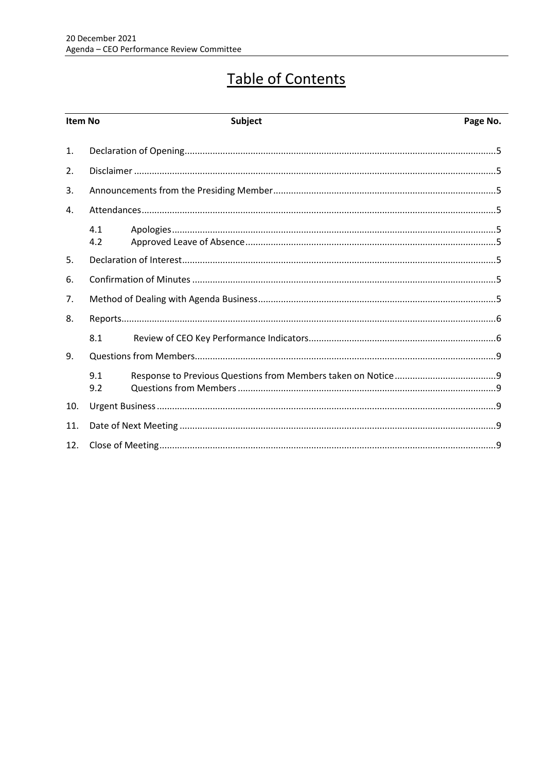# Table of Contents

| Item No |            | <b>Subject</b> | Page No. |
|---------|------------|----------------|----------|
| 1.      |            |                |          |
| 2.      |            |                |          |
| 3.      |            |                |          |
| 4.      |            |                |          |
|         | 4.1<br>4.2 |                |          |
| 5.      |            |                |          |
| 6.      |            |                |          |
| 7.      |            |                |          |
| 8.      |            |                |          |
|         | 8.1        |                |          |
| 9.      |            |                |          |
|         | 9.1<br>9.2 |                |          |
| 10.     |            |                |          |
| 11.     |            |                |          |
| 12.     |            |                |          |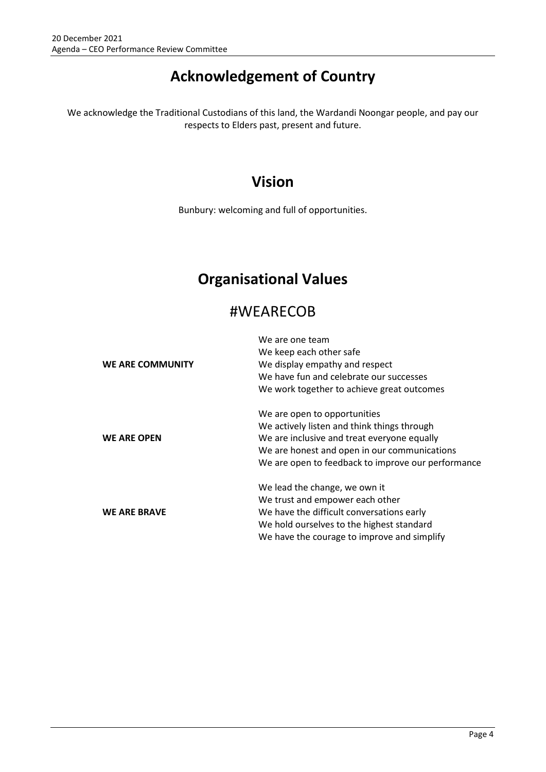# **Acknowledgement of Country**

We acknowledge the Traditional Custodians of this land, the Wardandi Noongar people, and pay our respects to Elders past, present and future.

# **Vision**

Bunbury: welcoming and full of opportunities.

# **Organisational Values**

## #WEARECOB

|                     | We are one team                                    |  |  |
|---------------------|----------------------------------------------------|--|--|
|                     | We keep each other safe                            |  |  |
| WE ARE COMMUNITY    | We display empathy and respect                     |  |  |
|                     | We have fun and celebrate our successes            |  |  |
|                     | We work together to achieve great outcomes         |  |  |
|                     | We are open to opportunities                       |  |  |
|                     | We actively listen and think things through        |  |  |
| <b>WE ARE OPEN</b>  | We are inclusive and treat everyone equally        |  |  |
|                     | We are honest and open in our communications       |  |  |
|                     | We are open to feedback to improve our performance |  |  |
|                     | We lead the change, we own it                      |  |  |
|                     | We trust and empower each other                    |  |  |
| <b>WE ARE BRAVE</b> | We have the difficult conversations early          |  |  |
|                     | We hold ourselves to the highest standard          |  |  |
|                     | We have the courage to improve and simplify        |  |  |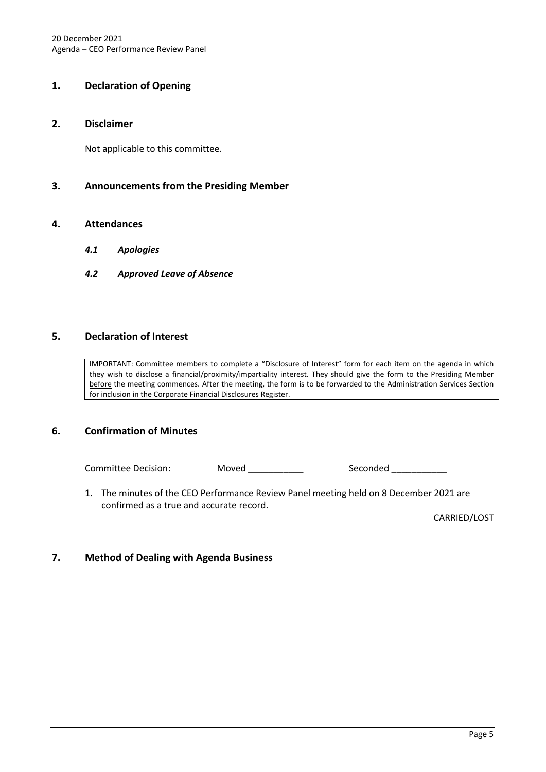## <span id="page-4-0"></span>**1. Declaration of Opening**

#### <span id="page-4-1"></span>**2. Disclaimer**

Not applicable to this committee.

## <span id="page-4-2"></span>**3. Announcements from the Presiding Member**

### <span id="page-4-4"></span><span id="page-4-3"></span>**4. Attendances**

- *4.1 Apologies*
- <span id="page-4-5"></span>*4.2 Approved Leave of Absence*

## <span id="page-4-6"></span>**5. Declaration of Interest**

IMPORTANT: Committee members to complete a "Disclosure of Interest" form for each item on the agenda in which they wish to disclose a financial/proximity/impartiality interest. They should give the form to the Presiding Member before the meeting commences. After the meeting, the form is to be forwarded to the Administration Services Section for inclusion in the Corporate Financial Disclosures Register.

## <span id="page-4-7"></span>**6. Confirmation of Minutes**

Committee Decision: Moved \_\_\_\_\_\_\_\_\_\_ Seconded \_\_\_\_\_\_\_\_

1. The minutes of the CEO Performance Review Panel meeting held on 8 December 2021 are confirmed as a true and accurate record.

CARRIED/LOST

## <span id="page-4-8"></span>**7. Method of Dealing with Agenda Business**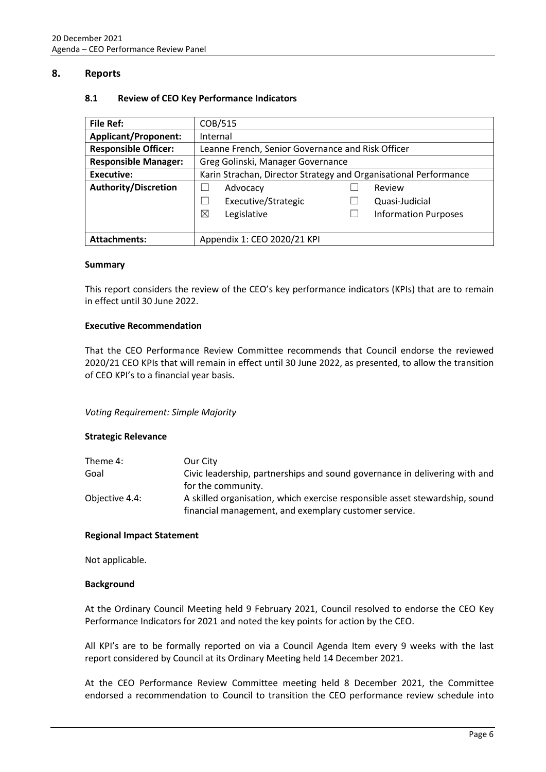### <span id="page-5-1"></span><span id="page-5-0"></span>**8. Reports**

#### **8.1 Review of CEO Key Performance Indicators**

| <b>File Ref:</b>            | COB/515                                                          |  |                             |
|-----------------------------|------------------------------------------------------------------|--|-----------------------------|
| <b>Applicant/Proponent:</b> | Internal                                                         |  |                             |
| <b>Responsible Officer:</b> | Leanne French, Senior Governance and Risk Officer                |  |                             |
| <b>Responsible Manager:</b> | Greg Golinski, Manager Governance                                |  |                             |
| Executive:                  | Karin Strachan, Director Strategy and Organisational Performance |  |                             |
| <b>Authority/Discretion</b> | Advocacy                                                         |  | Review                      |
|                             | Executive/Strategic<br>- 1                                       |  | Quasi-Judicial              |
|                             | ⊠<br>Legislative                                                 |  | <b>Information Purposes</b> |
|                             |                                                                  |  |                             |
| <b>Attachments:</b>         | Appendix 1: CEO 2020/21 KPI                                      |  |                             |

#### **Summary**

This report considers the review of the CEO's key performance indicators (KPIs) that are to remain in effect until 30 June 2022.

#### **Executive Recommendation**

That the CEO Performance Review Committee recommends that Council endorse the reviewed 2020/21 CEO KPIs that will remain in effect until 30 June 2022, as presented, to allow the transition of CEO KPI's to a financial year basis.

#### *Voting Requirement: Simple Majority*

#### **Strategic Relevance**

| Theme 4:       | Our City                                                                    |
|----------------|-----------------------------------------------------------------------------|
| Goal           | Civic leadership, partnerships and sound governance in delivering with and  |
|                | for the community.                                                          |
| Objective 4.4: | A skilled organisation, which exercise responsible asset stewardship, sound |
|                | financial management, and exemplary customer service.                       |

#### **Regional Impact Statement**

Not applicable.

#### **Background**

At the Ordinary Council Meeting held 9 February 2021, Council resolved to endorse the CEO Key Performance Indicators for 2021 and noted the key points for action by the CEO.

All KPI's are to be formally reported on via a Council Agenda Item every 9 weeks with the last report considered by Council at its Ordinary Meeting held 14 December 2021.

At the CEO Performance Review Committee meeting held 8 December 2021, the Committee endorsed a recommendation to Council to transition the CEO performance review schedule into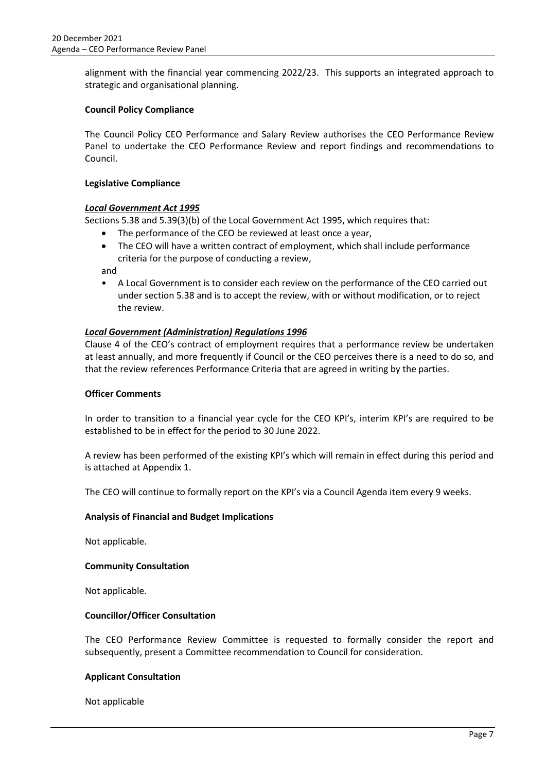alignment with the financial year commencing 2022/23. This supports an integrated approach to strategic and organisational planning.

### **Council Policy Compliance**

The Council Policy CEO Performance and Salary Review authorises the CEO Performance Review Panel to undertake the CEO Performance Review and report findings and recommendations to Council.

#### **Legislative Compliance**

#### *Local Government Act 1995*

Sections 5.38 and 5.39(3)(b) of the Local Government Act 1995, which requires that:

- The performance of the CEO be reviewed at least once a year,
- The CEO will have a written contract of employment, which shall include performance criteria for the purpose of conducting a review,

and

• A Local Government is to consider each review on the performance of the CEO carried out under section 5.38 and is to accept the review, with or without modification, or to reject the review.

### *Local Government (Administration) Regulations 1996*

Clause 4 of the CEO's contract of employment requires that a performance review be undertaken at least annually, and more frequently if Council or the CEO perceives there is a need to do so, and that the review references Performance Criteria that are agreed in writing by the parties.

#### **Officer Comments**

In order to transition to a financial year cycle for the CEO KPI's, interim KPI's are required to be established to be in effect for the period to 30 June 2022.

A review has been performed of the existing KPI's which will remain in effect during this period and is attached at Appendix 1.

The CEO will continue to formally report on the KPI's via a Council Agenda item every 9 weeks.

#### **Analysis of Financial and Budget Implications**

Not applicable.

#### **Community Consultation**

Not applicable.

#### **Councillor/Officer Consultation**

The CEO Performance Review Committee is requested to formally consider the report and subsequently, present a Committee recommendation to Council for consideration.

#### **Applicant Consultation**

Not applicable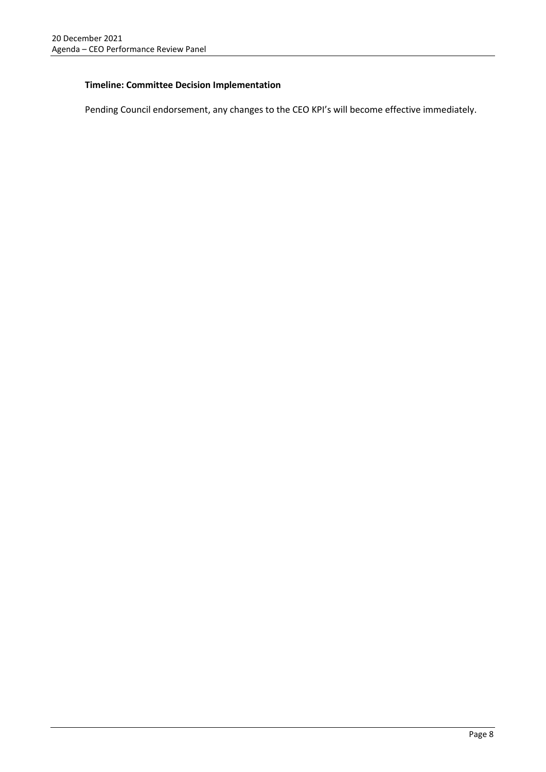### **Timeline: Committee Decision Implementation**

Pending Council endorsement, any changes to the CEO KPI's will become effective immediately.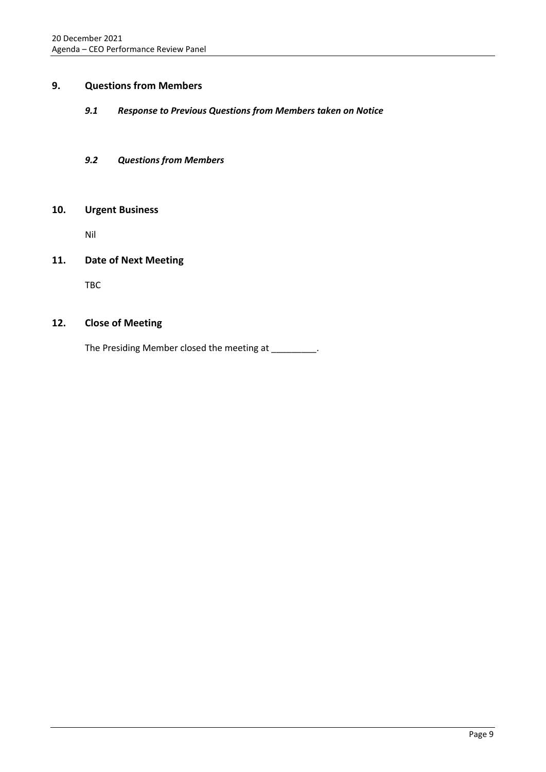## <span id="page-8-1"></span><span id="page-8-0"></span>**9. Questions from Members**

### *9.1 Response to Previous Questions from Members taken on Notice*

### <span id="page-8-2"></span>*9.2 Questions from Members*

### <span id="page-8-3"></span>**10. Urgent Business**

Nil

## <span id="page-8-4"></span>**11. Date of Next Meeting**

TBC

## <span id="page-8-5"></span>**12. Close of Meeting**

The Presiding Member closed the meeting at \_\_\_\_\_\_\_\_.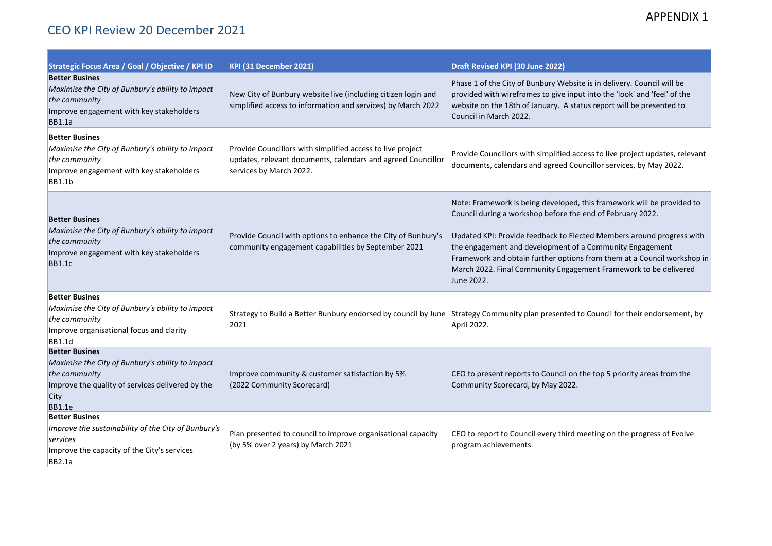## APPENDIX 1

| Strategic Focus Area / Goal / Objective / KPI ID                                                                                                                        | KPI (31 December 2021)                                                                                                                                | Draft Revised KPI (30 June 2022)                                                                                                                                                                                                                                                                                                                                                                                                       |
|-------------------------------------------------------------------------------------------------------------------------------------------------------------------------|-------------------------------------------------------------------------------------------------------------------------------------------------------|----------------------------------------------------------------------------------------------------------------------------------------------------------------------------------------------------------------------------------------------------------------------------------------------------------------------------------------------------------------------------------------------------------------------------------------|
| <b>Better Busines</b><br>Maximise the City of Bunbury's ability to impact<br>the community<br>Improve engagement with key stakeholders<br><b>BB1.1a</b>                 | New City of Bunbury website live (including citizen login and<br>simplified access to information and services) by March 2022                         | Phase 1 of the City of Bunbury Website is in delivery. Council will be<br>provided with wireframes to give input into the 'look' and 'feel' of the<br>website on the 18th of January. A status report will be presented to<br>Council in March 2022.                                                                                                                                                                                   |
| <b>Better Busines</b><br>Maximise the City of Bunbury's ability to impact<br>the community<br>Improve engagement with key stakeholders<br><b>BB1.1b</b>                 | Provide Councillors with simplified access to live project<br>updates, relevant documents, calendars and agreed Councillor<br>services by March 2022. | Provide Councillors with simplified access to live project updates, relevant<br>documents, calendars and agreed Councillor services, by May 2022.                                                                                                                                                                                                                                                                                      |
| <b>Better Busines</b><br>Maximise the City of Bunbury's ability to impact<br>the community<br>Improve engagement with key stakeholders<br><b>BB1.1c</b>                 | Provide Council with options to enhance the City of Bunbury's<br>community engagement capabilities by September 2021                                  | Note: Framework is being developed, this framework will be provided to<br>Council during a workshop before the end of February 2022.<br>Updated KPI: Provide feedback to Elected Members around progress with<br>the engagement and development of a Community Engagement<br>Framework and obtain further options from them at a Council workshop in<br>March 2022. Final Community Engagement Framework to be delivered<br>June 2022. |
| <b>Better Busines</b><br>Maximise the City of Bunbury's ability to impact<br>the community<br>Improve organisational focus and clarity<br><b>BB1.1d</b>                 | 2021                                                                                                                                                  | Strategy to Build a Better Bunbury endorsed by council by June Strategy Community plan presented to Council for their endorsement, by<br>April 2022.                                                                                                                                                                                                                                                                                   |
| <b>Better Busines</b><br>Maximise the City of Bunbury's ability to impact<br>the community<br>Improve the quality of services delivered by the<br>City<br><b>BB1.1e</b> | Improve community & customer satisfaction by 5%<br>(2022 Community Scorecard)                                                                         | CEO to present reports to Council on the top 5 priority areas from the<br>Community Scorecard, by May 2022.                                                                                                                                                                                                                                                                                                                            |
| <b>Better Busines</b><br>Improve the sustainability of the City of Bunbury's<br>services<br>Improve the capacity of the City's services<br><b>BB2.1a</b>                | Plan presented to council to improve organisational capacity<br>(by 5% over 2 years) by March 2021                                                    | CEO to report to Council every third meeting on the progress of Evolve<br>program achievements.                                                                                                                                                                                                                                                                                                                                        |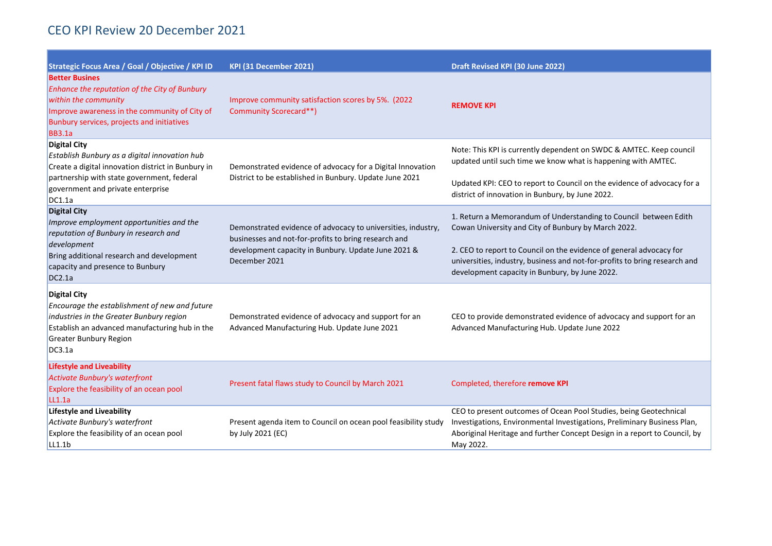| Strategic Focus Area / Goal / Objective / KPI ID                                                                                                                                                                        | KPI (31 December 2021)                                                                                                                                                                       | Draft Revised KPI (30 June 2022)                                                                                                                                                                                                                                                                                               |
|-------------------------------------------------------------------------------------------------------------------------------------------------------------------------------------------------------------------------|----------------------------------------------------------------------------------------------------------------------------------------------------------------------------------------------|--------------------------------------------------------------------------------------------------------------------------------------------------------------------------------------------------------------------------------------------------------------------------------------------------------------------------------|
| <b>Better Busines</b><br>Enhance the reputation of the City of Bunbury<br>within the community<br>Improve awareness in the community of City of<br>Bunbury services, projects and initiatives<br><b>BB3.1a</b>          | Improve community satisfaction scores by 5%. (2022<br>Community Scorecard**)                                                                                                                 | <b>REMOVE KPI</b>                                                                                                                                                                                                                                                                                                              |
| <b>Digital City</b><br>Establish Bunbury as a digital innovation hub<br>Create a digital innovation district in Bunbury in<br>partnership with state government, federal<br>government and private enterprise<br>DC1.1a | Demonstrated evidence of advocacy for a Digital Innovation<br>District to be established in Bunbury. Update June 2021                                                                        | Note: This KPI is currently dependent on SWDC & AMTEC. Keep council<br>updated until such time we know what is happening with AMTEC.<br>Updated KPI: CEO to report to Council on the evidence of advocacy for a<br>district of innovation in Bunbury, by June 2022.                                                            |
| <b>Digital City</b><br>Improve employment opportunities and the<br>reputation of Bunbury in research and<br>development<br>Bring additional research and development<br>capacity and presence to Bunbury<br>DC2.1a      | Demonstrated evidence of advocacy to universities, industry,<br>businesses and not-for-profits to bring research and<br>development capacity in Bunbury. Update June 2021 &<br>December 2021 | 1. Return a Memorandum of Understanding to Council between Edith<br>Cowan University and City of Bunbury by March 2022.<br>2. CEO to report to Council on the evidence of general advocacy for<br>universities, industry, business and not-for-profits to bring research and<br>development capacity in Bunbury, by June 2022. |
| <b>Digital City</b><br>Encourage the establishment of new and future<br>industries in the Greater Bunbury region<br>Establish an advanced manufacturing hub in the<br><b>Greater Bunbury Region</b><br>DC3.1a           | Demonstrated evidence of advocacy and support for an<br>Advanced Manufacturing Hub. Update June 2021                                                                                         | CEO to provide demonstrated evidence of advocacy and support for an<br>Advanced Manufacturing Hub. Update June 2022                                                                                                                                                                                                            |
| <b>Lifestyle and Liveability</b><br><b>Activate Bunbury's waterfront</b><br>Explore the feasibility of an ocean pool<br>LL1.1a                                                                                          | Present fatal flaws study to Council by March 2021                                                                                                                                           | Completed, therefore remove KPI                                                                                                                                                                                                                                                                                                |
| <b>Lifestyle and Liveability</b><br>Activate Bunbury's waterfront<br>Explore the feasibility of an ocean pool<br>LL1.1b                                                                                                 | Present agenda item to Council on ocean pool feasibility study<br>by July 2021 (EC)                                                                                                          | CEO to present outcomes of Ocean Pool Studies, being Geotechnical<br>Investigations, Environmental Investigations, Preliminary Business Plan,<br>Aboriginal Heritage and further Concept Design in a report to Council, by<br>May 2022.                                                                                        |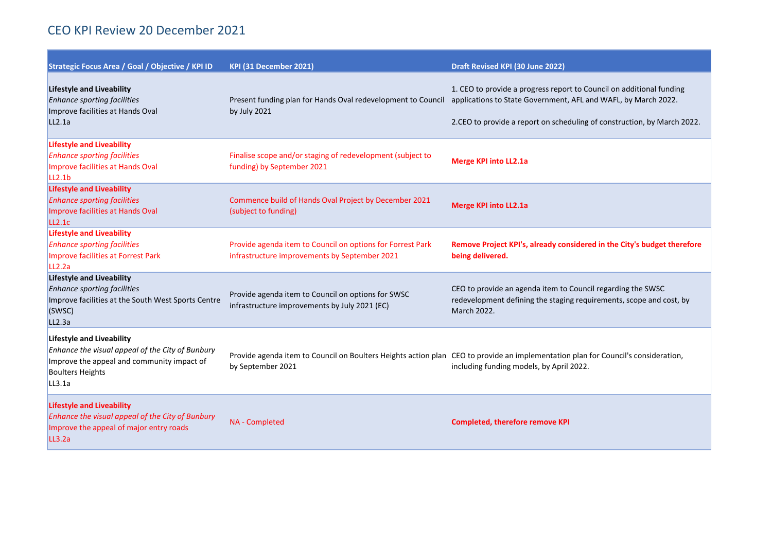| Strategic Focus Area / Goal / Objective / KPI ID                                                                                                                        | KPI (31 December 2021)                                                                                      | Draft Revised KPI (30 June 2022)                                                                                                                                                                                  |
|-------------------------------------------------------------------------------------------------------------------------------------------------------------------------|-------------------------------------------------------------------------------------------------------------|-------------------------------------------------------------------------------------------------------------------------------------------------------------------------------------------------------------------|
| <b>Lifestyle and Liveability</b><br><b>Enhance sporting facilities</b><br>Improve facilities at Hands Oval<br>LL2.1a                                                    | Present funding plan for Hands Oval redevelopment to Council<br>by July 2021                                | 1. CEO to provide a progress report to Council on additional funding<br>applications to State Government, AFL and WAFL, by March 2022.<br>2.CEO to provide a report on scheduling of construction, by March 2022. |
| <b>Lifestyle and Liveability</b><br><b>Enhance sporting facilities</b><br>Improve facilities at Hands Oval<br>LL <sub>2.1b</sub>                                        | Finalise scope and/or staging of redevelopment (subject to<br>funding) by September 2021                    | <b>Merge KPI into LL2.1a</b>                                                                                                                                                                                      |
| <b>Lifestyle and Liveability</b><br><b>Enhance sporting facilities</b><br>Improve facilities at Hands Oval<br>LL2.1c                                                    | Commence build of Hands Oval Project by December 2021<br>(subject to funding)                               | <b>Merge KPI into LL2.1a</b>                                                                                                                                                                                      |
| <b>Lifestyle and Liveability</b><br><b>Enhance sporting facilities</b><br>Improve facilities at Forrest Park<br>LL <sub>2.2a</sub>                                      | Provide agenda item to Council on options for Forrest Park<br>infrastructure improvements by September 2021 | Remove Project KPI's, already considered in the City's budget therefore<br>being delivered.                                                                                                                       |
| <b>Lifestyle and Liveability</b><br><b>Enhance sporting facilities</b><br>Improve facilities at the South West Sports Centre<br>(SWSC)<br>LL2.3a                        | Provide agenda item to Council on options for SWSC<br>infrastructure improvements by July 2021 (EC)         | CEO to provide an agenda item to Council regarding the SWSC<br>redevelopment defining the staging requirements, scope and cost, by<br>March 2022.                                                                 |
| <b>Lifestyle and Liveability</b><br>Enhance the visual appeal of the City of Bunbury<br>Improve the appeal and community impact of<br><b>Boulters Heights</b><br>LL3.1a | by September 2021                                                                                           | Provide agenda item to Council on Boulters Heights action plan CEO to provide an implementation plan for Council's consideration,<br>including funding models, by April 2022.                                     |
| <b>Lifestyle and Liveability</b><br>Enhance the visual appeal of the City of Bunbury<br>Improve the appeal of major entry roads<br>LL3.2a                               | NA - Completed                                                                                              | <b>Completed, therefore remove KPI</b>                                                                                                                                                                            |